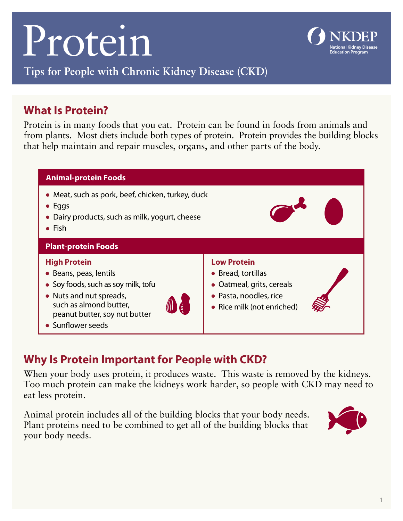# Protein



#### **Tips for People with Chronic Kidney Disease (CKD)**

## **What Is Protein?**

Protein is in many foods that you eat. Protein can be found in foods from animals and from plants. Most diets include both types of protein. Protein provides the building blocks that help maintain and repair muscles, organs, and other parts of the body.



## **Why Is Protein Important for People with CKD?**

When your body uses protein, it produces waste. This waste is removed by the kidneys. Too much protein can make the kidneys work harder, so people with CKD may need to eat less protein.

Animal protein includes all of the building blocks that your body needs. Plant proteins need to be combined to get all of the building blocks that your body needs.